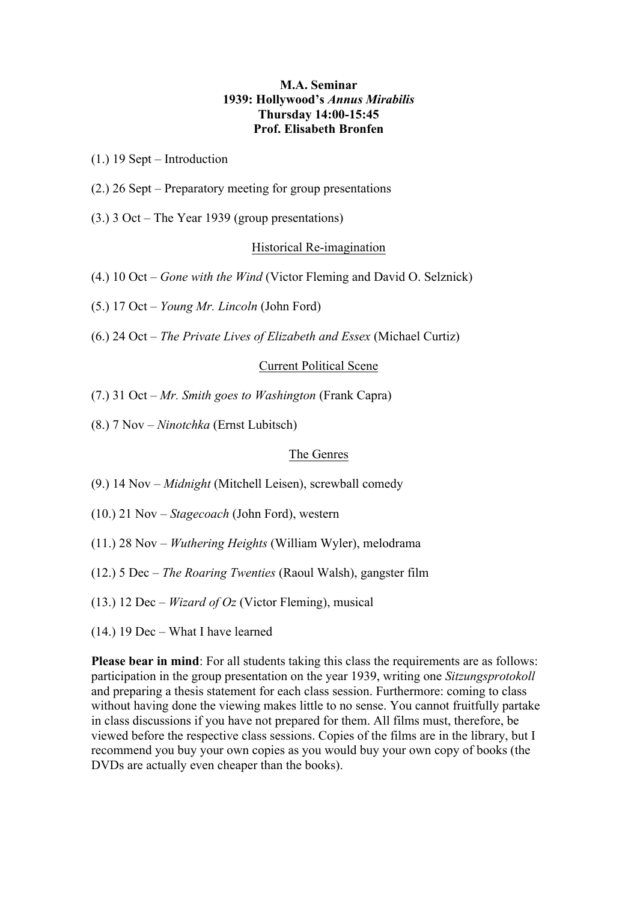# **M.A. Seminar 1939: Hollywood's** *Annus Mirabilis* **Thursday 14:00-15:45 Prof. Elisabeth Bronfen**

(1.) 19 Sept – Introduction

- (2.) 26 Sept Preparatory meeting for group presentations
- (3.) 3 Oct The Year 1939 (group presentations)

# Historical Re-imagination

- (4.) 10 Oct *Gone with the Wind* (Victor Fleming and David O. Selznick)
- (5.) 17 Oct *Young Mr. Lincoln* (John Ford)
- (6.) 24 Oct *The Private Lives of Elizabeth and Essex* (Michael Curtiz)

### Current Political Scene

- (7.) 31 Oct *Mr. Smith goes to Washington* (Frank Capra)
- (8.) 7 Nov *Ninotchka* (Ernst Lubitsch)

## The Genres

- (9.) 14 Nov *Midnight* (Mitchell Leisen), screwball comedy
- (10.) 21 Nov *Stagecoach* (John Ford), western
- (11.) 28 Nov *Wuthering Heights* (William Wyler), melodrama
- (12.) 5 Dec *The Roaring Twenties* (Raoul Walsh), gangster film
- (13.) 12 Dec *Wizard of Oz* (Victor Fleming), musical
- (14.) 19 Dec What I have learned

**Please bear in mind**: For all students taking this class the requirements are as follows: participation in the group presentation on the year 1939, writing one *Sitzungsprotokoll* and preparing a thesis statement for each class session. Furthermore: coming to class without having done the viewing makes little to no sense. You cannot fruitfully partake in class discussions if you have not prepared for them. All films must, therefore, be viewed before the respective class sessions. Copies of the films are in the library, but I recommend you buy your own copies as you would buy your own copy of books (the DVDs are actually even cheaper than the books).